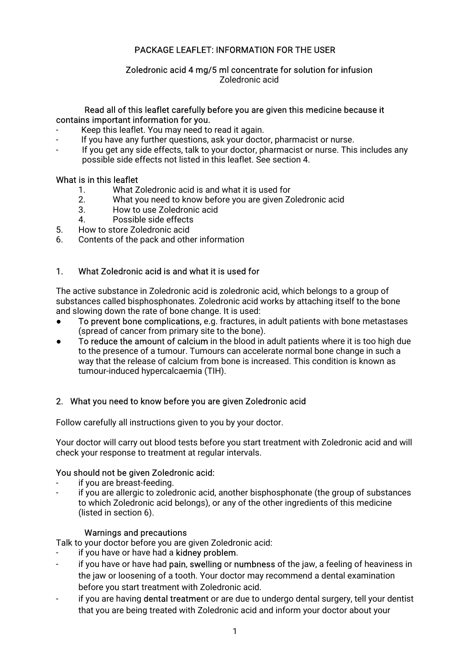# PACKAGE LEAFLET: INFORMATION FOR THE USER

# Zoledronic acid 4 mg/5 ml concentrate for solution for infusion

Zoledronicacid

### Read all of this leaflet carefully before you are given this medicine because it contains important information for you.

- Keep this leaflet. You may need to read it again.
- If you have any further questions, ask your doctor, pharmacist or nurse.
- If you get any side effects, talk to your doctor, pharmacist or nurse. This includes any possible side effects not listed in this leaflet. See section 4.

### What is in this leaflet

- 1. What Zoledronic acid is and what it is used for
- 2. What you need to know before you are given Zoledronic acid
- 3. How to use Zoledronic acid
- 4. Possible side effects
- 5. How to store Zoledronic acid
- 6. Contents of the pack and other information

# 1. What Zoledronic acid is and what it is used for

The active substance in Zoledronic acid is zoledronic acid, which belongs to a group of substances called bisphosphonates. Zoledronic acid works by attaching itself to the bone and slowing down the rate of bone change. It is used:

- To prevent bone complications, e.g. fractures, in adult patients with bone metastases (spread of cancer from primary site to the bone).
- To reduce the amount of calcium in the blood in adult patients where it is too high due to the presence of a tumour. Tumours can accelerate normal bone change in such a way that the release of calcium from bone is increased. This condition is known as tumour-induced hypercalcaemia (TIH).

# 2. What you need to know before you are given Zoledronic acid

Follow carefully all instructions given to you by your doctor.

Your doctor will carry out blood tests before you start treatment with Zoledronic acid and will check your response to treatment at regular intervals.

### You should not be given Zoledronic acid:

- if you are breast-feeding.
- if you are allergic to zoledronic acid, another bisphosphonate (the group of substances to which Zoledronic acid belongs), or any of the other ingredients of this medicine (listed in section 6).

### Warnings and precautions

Talk to your doctor before you are given Zoledronic acid:

- if you have or have had a kidney problem.
- if you have or have had pain, swelling or numbness of the jaw, a feeling of heaviness in the jaw or loosening of a tooth. Your doctor may recommend a dental examination before you start treatment with Zoledronic acid.
- if you are having dental treatment or are due to undergo dental surgery, tell your dentist that you are being treated with Zoledronic acid and inform your doctor about your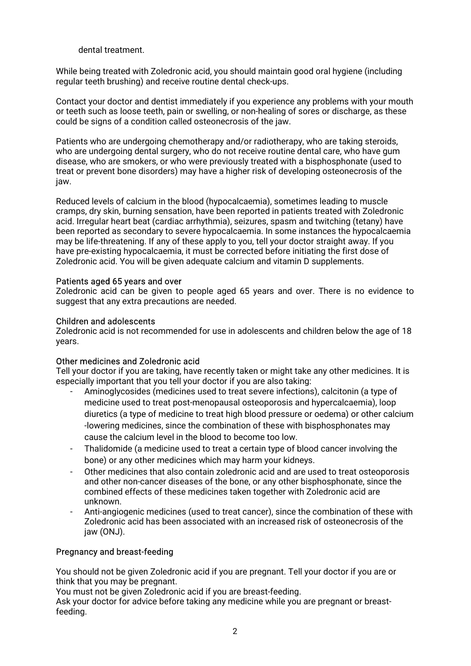### dental treatment

While being treated with Zoledronic acid, you should maintain good oral hygiene (including regular teeth brushing) and receive routine dental check-ups.

Contact your doctor and dentist immediately if you experience any problems with your mouth or teeth such as loose teeth, pain or swelling, or non-healing of sores or discharge, as these could be signs of a condition called osteonecrosis of the jaw.

Patients who are undergoing chemotherapy and/or radiotherapy, who are taking steroids, who are undergoing dental surgery, who do not receive routine dental care, who have gum disease, who are smokers, or who were previously treated with a bisphosphonate (used to treat or prevent bone disorders) may have a higher risk of developing osteonecrosis of the jaw.

Reduced levels of calcium in the blood (hypocalcaemia), sometimes leading to muscle cramps, dry skin, burning sensation, have been reported in patients treated with Zoledronic acid. Irregular heart beat (cardiac arrhythmia), seizures, spasm and twitching (tetany) have been reported as secondary to severe hypocalcaemia. In some instances the hypocalcaemia may be life-threatening. If any of these apply to you, tell your doctor straight away. If you have pre-existing hypocalcaemia, it must be corrected before initiating the first dose of Zoledronic acid. You will be given adequate calcium and vitamin D supplements.

#### Patients aged 65 years and over

Zoledronic acid can be given to people aged 65 years and over. There is no evidence to suggest that any extra precautions are needed.

### Children and adolescents

Zoledronic acid is not recommended for use in adolescents and children below the age of 18 years.

### Other medicines and Zoledronic acid

Tell your doctor if you are taking, have recently taken or might take any other medicines. It is especially important that you tell your doctor if you are also taking:

- Aminoglycosides (medicines used to treat severe infections), calcitonin (a type of medicine used to treat post-menopausal osteoporosis and hypercalcaemia), loop diuretics (a type of medicine to treat high blood pressure or oedema) or other calcium -lowering medicines, since the combination of these with bisphosphonates may cause the calcium level in the blood to become too low.
- Thalidomide (a medicine used to treat a certain type of blood cancer involving the bone) or any other medicines which may harm your kidneys.
- Other medicines that also contain zoledronic acid and are used to treat osteoporosis and other non-cancer diseases of the bone, or any other bisphosphonate, since the combined effects of these medicines taken together with Zoledronic acid are unknown.
- Anti-angiogenic medicines (used to treat cancer), since the combination of these with Zoledronic acid has been associated with an increased risk of osteonecrosis of the jaw(ONJ).

### Pregnancy and breast-feeding

You should not be given Zoledronic acid if you are pregnant. Tell your doctor if you are or think that you may be pregnant.

You must not be given Zoledronic acid if you are breast-feeding.

Ask your doctor for advice before taking any medicine while you are pregnant or breastfeeding.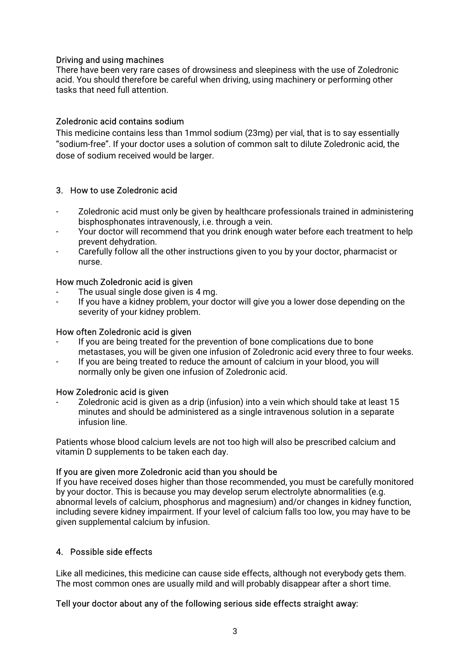### Driving and using machines

There have been very rare cases of drowsiness and sleepiness with the use of Zoledronic acid. You should therefore be careful when driving, using machinery or performing other tasks that need full attention.

### Zoledronic acid contains sodium

This medicine contains less than 1mmol sodium (23mg) per vial, that is to say essentially "sodium-free". If your doctor uses a solution of common salt to dilute Zoledronic acid, the dose of sodium received would be larger.

### 3. How to use Zoledronic acid

- Zoledronic acid must only be given by healthcare professionals trained in administering bisphosphonates intravenously, i.e. through a vein.
- Your doctor will recommend that you drink enough water before each treatment to help prevent dehydration.
- Carefully follow all the other instructions given to you by your doctor, pharmacist or nurse.

#### How much Zoledronic acid is given

- The usual single dose given is 4 mg.
- If you have a kidney problem, your doctor will give you a lower dose depending on the severity of your kidney problem.

### How often Zoledronic acid is given

- If you are being treated for the prevention of bone complications due to bone metastases, you will be given one infusion of Zoledronic acid every three to four weeks.
- If you are being treated to reduce the amount of calcium in your blood, you will normally only be given one infusion of Zoledronic acid.

#### How Zoledronic acid is given

Zoledronic acid is given as a drip (infusion) into a vein which should take at least 15 minutes and should be administered as a single intravenous solution in a separate infusion line.

Patients whose blood calcium levels are not too high will also be prescribed calcium and vitamin D supplements to be taken each day.

#### If you are given more Zoledronic acid than you should be

If you have received doses higher than those recommended, you must be carefully monitored by your doctor. This is because you may develop serum electrolyte abnormalities (e.g. abnormal levels of calcium, phosphorus and magnesium) and/or changes in kidney function, including severe kidney impairment. If your level of calcium falls too low, you may have to be given supplemental calcium by infusion.

### 4. Possible side effects

Like all medicines, this medicine can cause side effects, although not everybody gets them. The most common ones are usually mild and will probably disappear after a short time.

#### Tell your doctor about any of the following serious side effects straight away: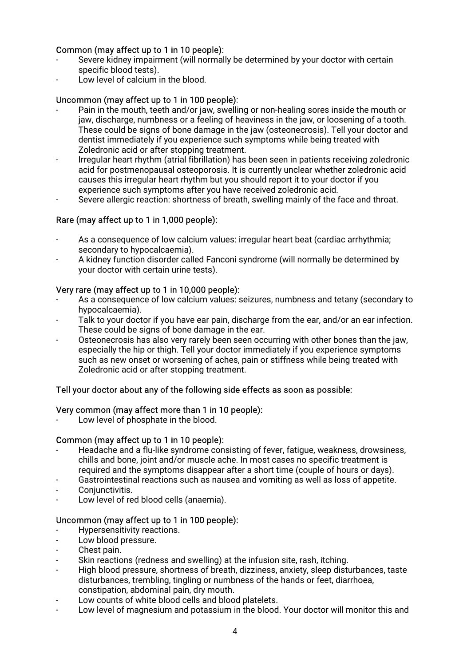### Common (may affect up to 1 in 10 people):

- Severe kidney impairment (will normally be determined by your doctor with certain specific blood tests).
- Low level of calcium in the blood.

### Uncommon (may affect up to 1 in 100 people):

- Pain in the mouth, teeth and/or jaw, swelling or non-healing sores inside the mouth or jaw, discharge, numbness or a feeling of heaviness in the jaw, or loosening of a tooth. These could be signs of bone damage in the jaw (osteonecrosis). Tell your doctor and dentist immediately if you experience such symptoms while being treated with Zoledronic acid or after stopping treatment.
- Irregular heart rhythm (atrial fibrillation) has been seen in patients receiving zoledronic acid for postmenopausal osteoporosis. It is currently unclear whether zoledronic acid causes this irregular heart rhythm but you should report it to your doctor if you experience such symptoms after you have received zoledronic acid.
- Severe allergic reaction: shortness of breath, swelling mainly of the face and throat.

### Rare (may affect up to 1 in 1,000 people):

- As a consequence of low calcium values: irregular heart beat (cardiac arrhythmia; secondary to hypocalcaemia).
- A kidney function disorder called Fanconi syndrome (will normally be determined by your doctor with certain urine tests).

### Very rare (may affect up to 1 in 10,000 people):

- As a consequence of low calcium values: seizures, numbness and tetany (secondary to hypocalcaemia).
- Talk to your doctor if you have ear pain, discharge from the ear, and/or an ear infection. These could be signs of bone damage in the ear.
- Osteonecrosis has also very rarely been seen occurring with other bones than the jaw, especially the hip or thigh. Tell your doctor immediately if you experience symptoms such as new onset or worsening of aches, pain or stiffness while being treated with Zoledronic acid or after stopping treatment.

#### Tell your doctor about any of the following side effects as soon as possible:

### Very common (may affect more than 1 in 10 people):

Low level of phosphate in the blood.

### Common (may affect up to 1 in 10 people):

- Headache and a flu-like syndrome consisting of fever, fatigue, weakness, drowsiness, chills and bone, joint and/or muscle ache. In most cases no specific treatment is required and the symptoms disappear after a short time (couple of hours or days).
- Gastrointestinal reactions such as nausea and vomiting as well as loss of appetite.
- Conjunctivitis.
- Low level of red blood cells (anaemia).

### Uncommon (may affect up to 1 in 100 people):

- Hypersensitivity reactions.
- Low blood pressure.
- Chest pain.
- Skin reactions (redness and swelling) at the infusion site, rash, itching.
- High blood pressure, shortness of breath, dizziness, anxiety, sleep disturbances, taste disturbances, trembling, tingling or numbness of the hands or feet, diarrhoea, constipation, abdominal pain, dry mouth.
- Low counts of white blood cells and blood platelets.
- Low level of magnesium and potassium in the blood. Your doctor will monitor this and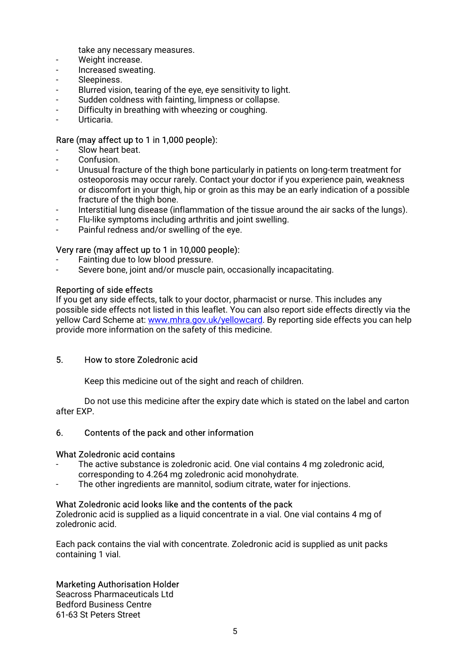take any necessary measures.

- Weight increase.
- Increased sweating.
- Sleepiness.
- Blurred vision, tearing of the eye, eye sensitivity to light.
- Sudden coldness with fainting, limpness or collapse.
- Difficulty in breathing with wheezing or coughing.
- Urticaria.

#### Rare (may affect up to 1 in 1,000 people):

- Slow heart beat.
- Confusion.
- Unusual fracture of the thigh bone particularly in patients on long-term treatment for osteoporosis may occur rarely. Contact your doctor if you experience pain, weakness or discomfort in your thigh, hip or groin as this may be an early indication of a possible fracture of the thigh bone.
- Interstitial lung disease (inflammation of the tissue around the air sacks of the lungs).
- Flu-like symptoms including arthritis and joint swelling.
- Painful redness and/or swelling of the eye.

#### Very rare (may affect up to 1 in 10,000 people):

- Fainting due to low blood pressure.
- Severe bone, joint and/or muscle pain, occasionally incapacitating.

#### Reporting of side effects

If you get any side effects, talk to your doctor, pharmacist or nurse. This includes any possible side effects not listed in this leaflet. You can also report side effects directly via the yellow Card Scheme at: www.mhra.gov.uk/yellowcard. By reporting side effects you can help provide more information on the safety of this medicine.

### 5. HowtostoreZoledronicacid

Keep this medicine out of the sight and reach of children.

Do not use this medicine after the expiry date which is stated on the label and carton after EXP.

#### 6. Contents of the pack and other information

#### What Zoledronic acid contains

- The active substance is zoledronic acid. One vial contains 4 mg zoledronic acid, corresponding to 4.264 mg zoledronic acid monohydrate.
- The other ingredients are mannitol, sodium citrate, water for injections.

#### What Zoledronic acid looks like and the contents of the pack

Zoledronic acid is supplied as a liquid concentrate in a vial. One vial contains 4 mg of zoledronic acid.

Each pack contains the vial with concentrate. Zoledronic acid is supplied as unit packs containing 1 vial.

#### Marketing Authorisation Holder

Seacross Pharmaceuticals Ltd Bedford Business Centre 61-63 St Peters Street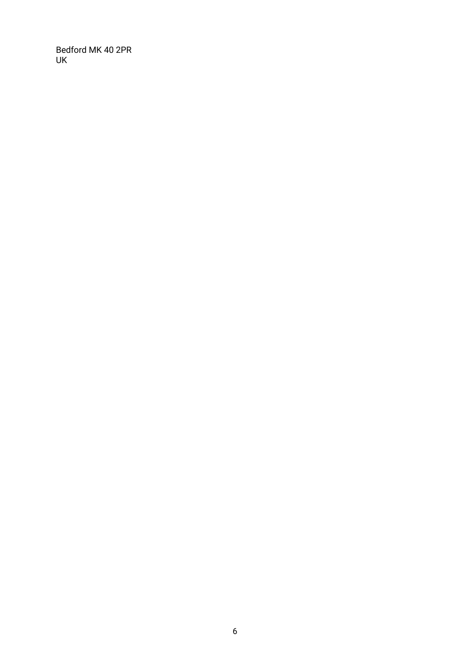Bedford MK 40 2PR UK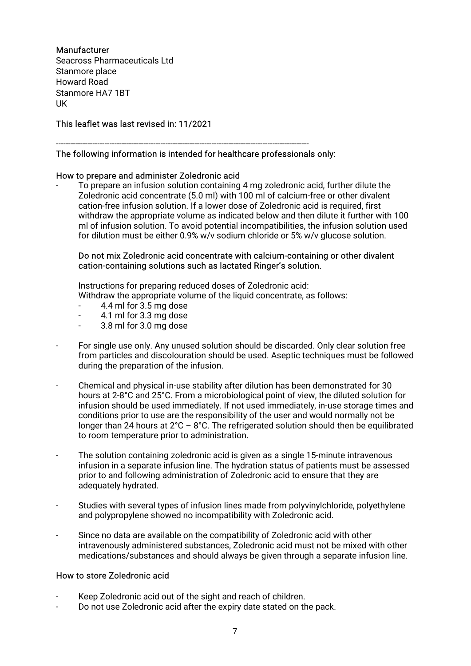### Manufacturer

Seacross Pharmaceuticals Ltd. Stanmore place Howard Road Stanmore HA7 1BT UK **UK A SERIES AND A SERIES AND A SERIES AND A** 

This leaflet was last revised in: 11/2021

### The following information is intended for healthcare professionals only:

#### How to prepare and administer Zoledronic acid

To prepare an infusion solution containing 4 mg zoledronic acid, further dilute the Zoledronic acid concentrate (5.0 ml) with 100 ml of calcium-free or other divalent cation-free infusion solution. If a lower dose of Zoledronic acid is required. first withdraw the appropriate volume as indicated below and then dilute it further with 100 ml of infusion solution. To avoid potential incompatibilities, the infusion solution used for dilution must be either 0.9% w/v sodium chloride or 5% w/v glucose solution.

--------------------------------------------------------------------------------------------------------

#### Do not mix Zoledronic acid concentrate with calcium-containing or other divalent cation-containing solutions such as lactated Ringer's solution.

Instructions for preparing reduced doses of Zoledronic acid: Withdraw the appropriate volume of the liquid concentrate, as follows:

- 4.4 ml for 3.5 mg dose
- 4.1 ml for 3.3 mg dose
- $3.8$  ml for  $3.0$  mg dose
- For single use only. Any unused solution should be discarded. Only clear solution free from particles and discolouration should be used. Aseptic techniques must be followed during the preparation of the infusion.
- Chemical and physical in-use stability after dilution has been demonstrated for 30 hours at 2-8°C and 25°C. From a microbiological point of view, the diluted solution for infusion should be used immediately. If not used immediately, in-use storage times and conditions prior to use are the responsibility of the user and would normally not be longer than 24 hours at  $2^{\circ}C$  – 8°C. The refrigerated solution should then be equilibrated to room temperature prior to administration.
- The solution containing zoledronic acid is given as a single 15-minute intravenous infusion in a separate infusion line. The hydration status of patients must be assessed prior to and following administration of Zoledronic acid to ensure that they are adequately hydrated.
- Studies with several types of infusion lines made from polyvinylchloride, polyethylene and polypropylene showed no incompatibility with Zoledronic acid.
- Since no data are available on the compatibility of Zoledronic acid with other intravenously administered substances, Zoledronic acid must not be mixed with other medications/substances and should always be given through a separate infusion line.

### How to store Zoledronic acid

- Keep Zoledronic acid out of the sight and reach of children.
- Do not use Zoledronic acid after the expiry date stated on the pack.